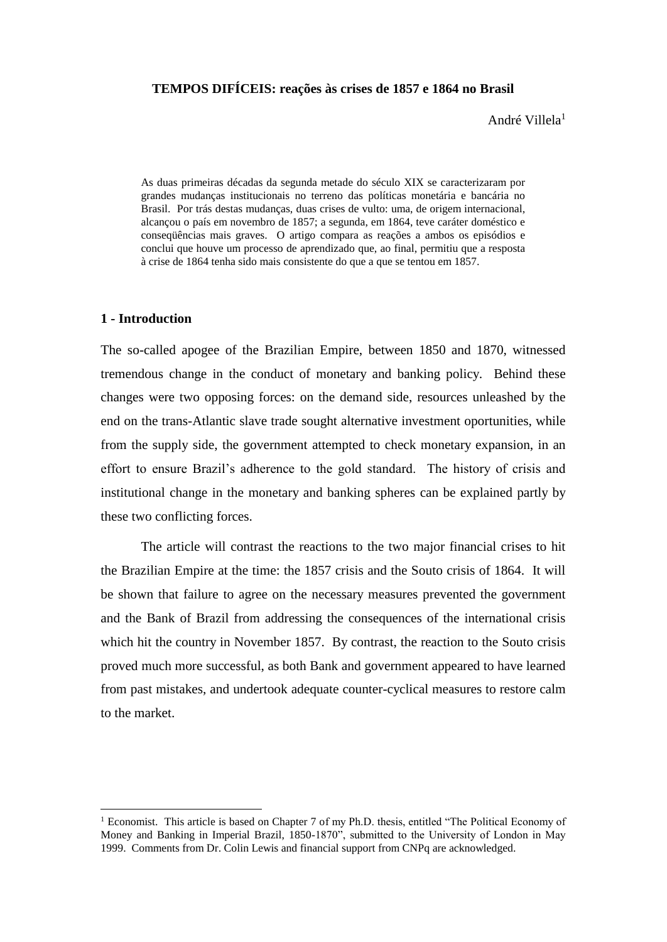# **TEMPOS DIFÍCEIS: reações às crises de 1857 e 1864 no Brasil**

André Villela<sup>1</sup>

As duas primeiras décadas da segunda metade do século XIX se caracterizaram por grandes mudanças institucionais no terreno das políticas monetária e bancária no Brasil. Por trás destas mudanças, duas crises de vulto: uma, de origem internacional, alcançou o país em novembro de 1857; a segunda, em 1864, teve caráter doméstico e conseqüências mais graves. O artigo compara as reações a ambos os episódios e conclui que houve um processo de aprendizado que, ao final, permitiu que a resposta à crise de 1864 tenha sido mais consistente do que a que se tentou em 1857.

### **1 - Introduction**

1

The so-called apogee of the Brazilian Empire, between 1850 and 1870, witnessed tremendous change in the conduct of monetary and banking policy. Behind these changes were two opposing forces: on the demand side, resources unleashed by the end on the trans-Atlantic slave trade sought alternative investment oportunities, while from the supply side, the government attempted to check monetary expansion, in an effort to ensure Brazil's adherence to the gold standard. The history of crisis and institutional change in the monetary and banking spheres can be explained partly by these two conflicting forces.

The article will contrast the reactions to the two major financial crises to hit the Brazilian Empire at the time: the 1857 crisis and the Souto crisis of 1864. It will be shown that failure to agree on the necessary measures prevented the government and the Bank of Brazil from addressing the consequences of the international crisis which hit the country in November 1857. By contrast, the reaction to the Souto crisis proved much more successful, as both Bank and government appeared to have learned from past mistakes, and undertook adequate counter-cyclical measures to restore calm to the market.

<sup>1</sup> Economist. This article is based on Chapter 7 of my Ph.D. thesis, entitled "The Political Economy of Money and Banking in Imperial Brazil, 1850-1870", submitted to the University of London in May 1999. Comments from Dr. Colin Lewis and financial support from CNPq are acknowledged.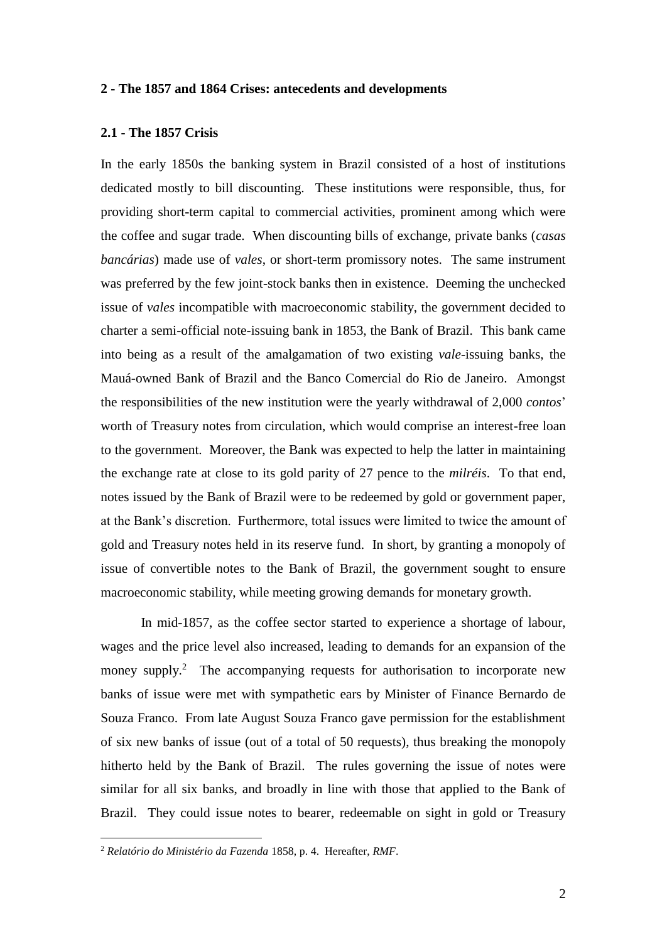## **2 - The 1857 and 1864 Crises: antecedents and developments**

# **2.1 - The 1857 Crisis**

In the early 1850s the banking system in Brazil consisted of a host of institutions dedicated mostly to bill discounting. These institutions were responsible, thus, for providing short-term capital to commercial activities, prominent among which were the coffee and sugar trade. When discounting bills of exchange, private banks (*casas bancárias*) made use of *vales*, or short-term promissory notes. The same instrument was preferred by the few joint-stock banks then in existence. Deeming the unchecked issue of *vales* incompatible with macroeconomic stability, the government decided to charter a semi-official note-issuing bank in 1853, the Bank of Brazil. This bank came into being as a result of the amalgamation of two existing *vale*-issuing banks, the Mauá-owned Bank of Brazil and the Banco Comercial do Rio de Janeiro. Amongst the responsibilities of the new institution were the yearly withdrawal of 2,000 *contos*' worth of Treasury notes from circulation, which would comprise an interest-free loan to the government. Moreover, the Bank was expected to help the latter in maintaining the exchange rate at close to its gold parity of 27 pence to the *milréis*. To that end, notes issued by the Bank of Brazil were to be redeemed by gold or government paper, at the Bank's discretion. Furthermore, total issues were limited to twice the amount of gold and Treasury notes held in its reserve fund. In short, by granting a monopoly of issue of convertible notes to the Bank of Brazil, the government sought to ensure macroeconomic stability, while meeting growing demands for monetary growth.

In mid-1857, as the coffee sector started to experience a shortage of labour, wages and the price level also increased, leading to demands for an expansion of the money supply.<sup>2</sup> The accompanying requests for authorisation to incorporate new banks of issue were met with sympathetic ears by Minister of Finance Bernardo de Souza Franco. From late August Souza Franco gave permission for the establishment of six new banks of issue (out of a total of 50 requests), thus breaking the monopoly hitherto held by the Bank of Brazil. The rules governing the issue of notes were similar for all six banks, and broadly in line with those that applied to the Bank of Brazil. They could issue notes to bearer, redeemable on sight in gold or Treasury

<sup>2</sup> *Relatório do Ministério da Fazenda* 1858, p. 4. Hereafter, *RMF*.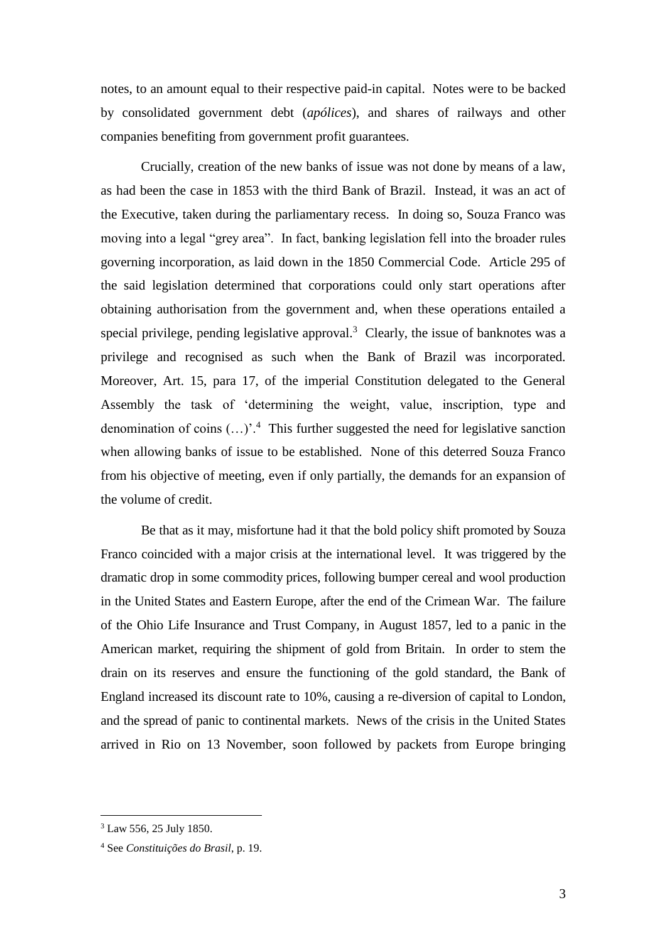notes, to an amount equal to their respective paid-in capital. Notes were to be backed by consolidated government debt (*apólices*), and shares of railways and other companies benefiting from government profit guarantees.

Crucially, creation of the new banks of issue was not done by means of a law, as had been the case in 1853 with the third Bank of Brazil. Instead, it was an act of the Executive, taken during the parliamentary recess. In doing so, Souza Franco was moving into a legal "grey area". In fact, banking legislation fell into the broader rules governing incorporation, as laid down in the 1850 Commercial Code. Article 295 of the said legislation determined that corporations could only start operations after obtaining authorisation from the government and, when these operations entailed a special privilege, pending legislative approval. $3$  Clearly, the issue of banknotes was a privilege and recognised as such when the Bank of Brazil was incorporated. Moreover, Art. 15, para 17, of the imperial Constitution delegated to the General Assembly the task of 'determining the weight, value, inscription, type and denomination of coins  $(...)'$ <sup>4</sup>. This further suggested the need for legislative sanction when allowing banks of issue to be established. None of this deterred Souza Franco from his objective of meeting, even if only partially, the demands for an expansion of the volume of credit.

Be that as it may, misfortune had it that the bold policy shift promoted by Souza Franco coincided with a major crisis at the international level. It was triggered by the dramatic drop in some commodity prices, following bumper cereal and wool production in the United States and Eastern Europe, after the end of the Crimean War. The failure of the Ohio Life Insurance and Trust Company, in August 1857, led to a panic in the American market, requiring the shipment of gold from Britain. In order to stem the drain on its reserves and ensure the functioning of the gold standard, the Bank of England increased its discount rate to 10%, causing a re-diversion of capital to London, and the spread of panic to continental markets. News of the crisis in the United States arrived in Rio on 13 November, soon followed by packets from Europe bringing

<sup>3</sup> Law 556, 25 July 1850.

<sup>4</sup> See *Constituições do Brasil*, p. 19.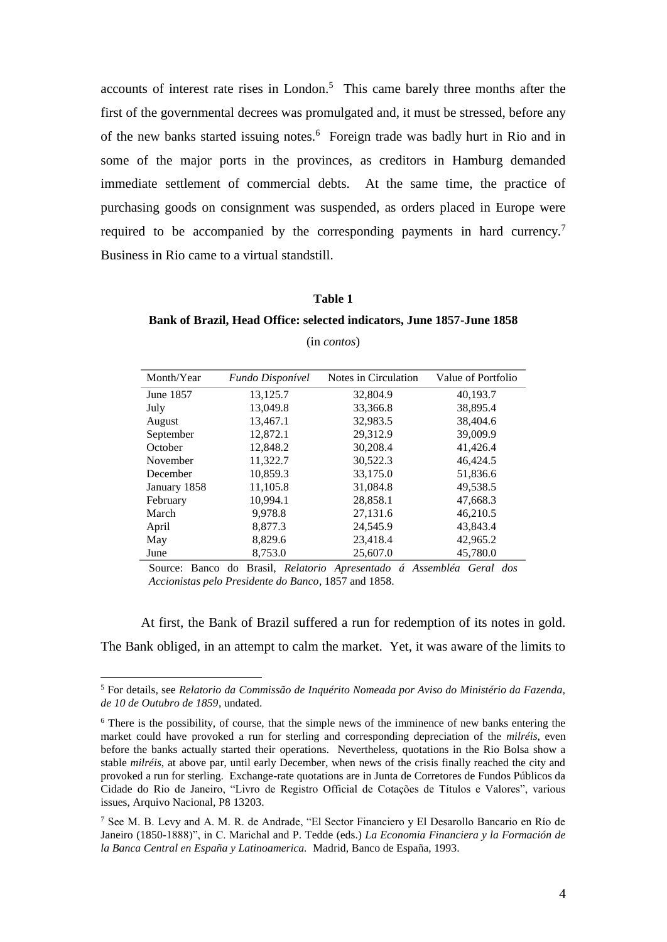accounts of interest rate rises in London.<sup>5</sup> This came barely three months after the first of the governmental decrees was promulgated and, it must be stressed, before any of the new banks started issuing notes.<sup>6</sup> Foreign trade was badly hurt in Rio and in some of the major ports in the provinces, as creditors in Hamburg demanded immediate settlement of commercial debts. At the same time, the practice of purchasing goods on consignment was suspended, as orders placed in Europe were required to be accompanied by the corresponding payments in hard currency.<sup>7</sup> Business in Rio came to a virtual standstill.

#### **Table 1**

**Bank of Brazil, Head Office: selected indicators, June 1857-June 1858**

| Month/Year   | Fundo Disponível | Notes in Circulation | Value of Portfolio |
|--------------|------------------|----------------------|--------------------|
| June 1857    | 13,125.7         | 32,804.9             | 40,193.7           |
| July         | 13,049.8         | 33,366.8             | 38.895.4           |
| August       | 13,467.1         | 32,983.5             | 38.404.6           |
| September    | 12,872.1         | 29,312.9             | 39,009.9           |
| October      | 12,848.2         | 30,208.4             | 41,426.4           |
| November     | 11,322.7         | 30,522.3             | 46,424.5           |
| December     | 10,859.3         | 33,175.0             | 51,836.6           |
| January 1858 | 11,105.8         | 31,084.8             | 49,538.5           |
| February     | 10,994.1         | 28,858.1             | 47,668.3           |
| March        | 9,978.8          | 27,131.6             | 46,210.5           |
| April        | 8,877.3          | 24,545.9             | 43,843.4           |
| May          | 8,829.6          | 23,418.4             | 42,965.2           |
| June         | 8,753.0          | 25,607.0             | 45,780.0           |

(in *contos*)

Source: Banco do Brasil, *Relatorio Apresentado á Assembléa Geral dos Accionistas pelo Presidente do Banco*, 1857 and 1858.

At first, the Bank of Brazil suffered a run for redemption of its notes in gold. The Bank obliged, in an attempt to calm the market. Yet, it was aware of the limits to

<sup>5</sup> For details, see *Relatorio da Commissão de Inquérito Nomeada por Aviso do Ministério da Fazenda, de 10 de Outubro de 1859*, undated.

<sup>6</sup> There is the possibility, of course, that the simple news of the imminence of new banks entering the market could have provoked a run for sterling and corresponding depreciation of the *milréis*, even before the banks actually started their operations. Nevertheless, quotations in the Rio Bolsa show a stable *milréis*, at above par, until early December, when news of the crisis finally reached the city and provoked a run for sterling. Exchange-rate quotations are in Junta de Corretores de Fundos Públicos da Cidade do Rio de Janeiro, "Livro de Registro Official de Cotações de Títulos e Valores", various issues, Arquivo Nacional, P8 13203.

<sup>7</sup> See M. B. Levy and A. M. R. de Andrade, "El Sector Financiero y El Desarollo Bancario en Río de Janeiro (1850-1888)", in C. Marichal and P. Tedde (eds.) *La Economia Financiera y la Formación de la Banca Central en España y Latinoamerica.* Madrid, Banco de España, 1993.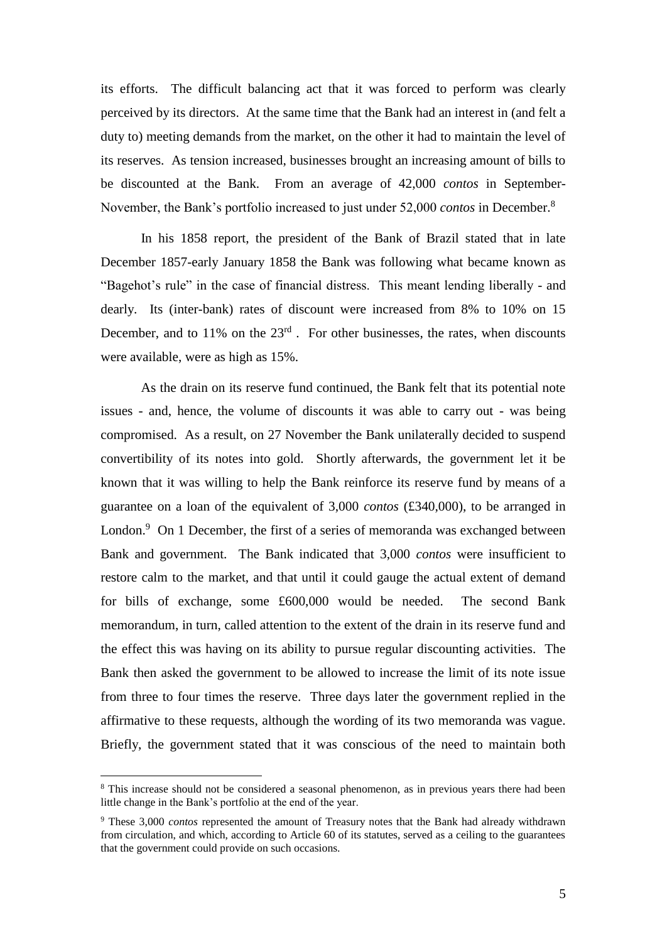its efforts. The difficult balancing act that it was forced to perform was clearly perceived by its directors. At the same time that the Bank had an interest in (and felt a duty to) meeting demands from the market, on the other it had to maintain the level of its reserves. As tension increased, businesses brought an increasing amount of bills to be discounted at the Bank. From an average of 42,000 *contos* in September-November, the Bank's portfolio increased to just under 52,000 *contos* in December.<sup>8</sup>

In his 1858 report, the president of the Bank of Brazil stated that in late December 1857-early January 1858 the Bank was following what became known as "Bagehot's rule" in the case of financial distress. This meant lending liberally - and dearly. Its (inter-bank) rates of discount were increased from 8% to 10% on 15 December, and to  $11\%$  on the  $23<sup>rd</sup>$ . For other businesses, the rates, when discounts were available, were as high as 15%.

As the drain on its reserve fund continued, the Bank felt that its potential note issues - and, hence, the volume of discounts it was able to carry out - was being compromised. As a result, on 27 November the Bank unilaterally decided to suspend convertibility of its notes into gold. Shortly afterwards, the government let it be known that it was willing to help the Bank reinforce its reserve fund by means of a guarantee on a loan of the equivalent of 3,000 *contos* (£340,000), to be arranged in London.<sup>9</sup> On 1 December, the first of a series of memoranda was exchanged between Bank and government. The Bank indicated that 3,000 *contos* were insufficient to restore calm to the market, and that until it could gauge the actual extent of demand for bills of exchange, some £600,000 would be needed. The second Bank memorandum, in turn, called attention to the extent of the drain in its reserve fund and the effect this was having on its ability to pursue regular discounting activities. The Bank then asked the government to be allowed to increase the limit of its note issue from three to four times the reserve. Three days later the government replied in the affirmative to these requests, although the wording of its two memoranda was vague. Briefly, the government stated that it was conscious of the need to maintain both

<sup>&</sup>lt;sup>8</sup> This increase should not be considered a seasonal phenomenon, as in previous years there had been little change in the Bank's portfolio at the end of the year.

<sup>9</sup> These 3,000 *contos* represented the amount of Treasury notes that the Bank had already withdrawn from circulation, and which, according to Article 60 of its statutes, served as a ceiling to the guarantees that the government could provide on such occasions.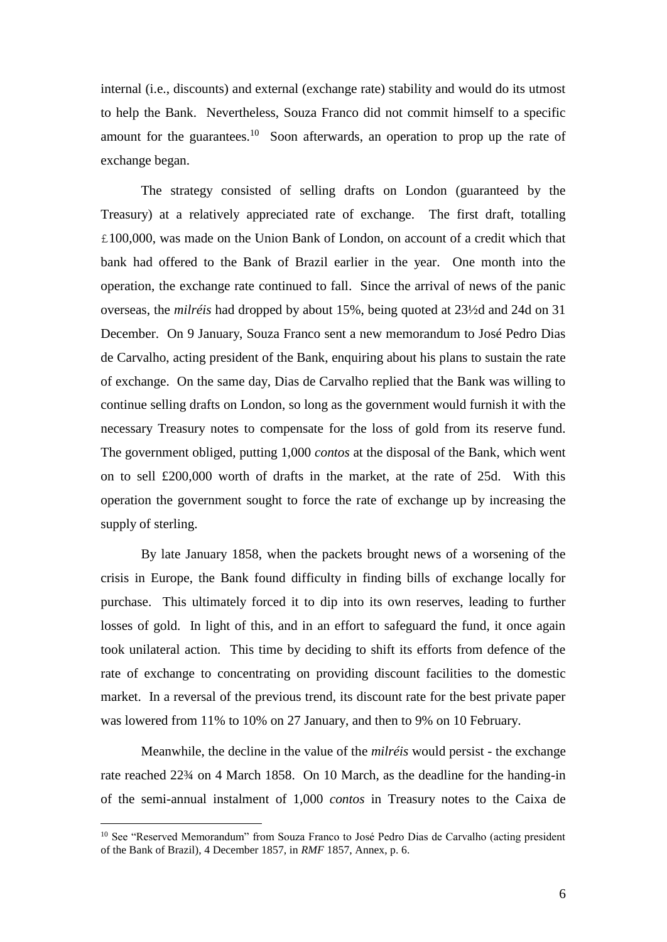internal (i.e., discounts) and external (exchange rate) stability and would do its utmost to help the Bank. Nevertheless, Souza Franco did not commit himself to a specific amount for the guarantees.<sup>10</sup> Soon afterwards, an operation to prop up the rate of exchange began.

The strategy consisted of selling drafts on London (guaranteed by the Treasury) at a relatively appreciated rate of exchange. The first draft, totalling £100,000, was made on the Union Bank of London, on account of a credit which that bank had offered to the Bank of Brazil earlier in the year. One month into the operation, the exchange rate continued to fall. Since the arrival of news of the panic overseas, the *milréis* had dropped by about 15%, being quoted at 23½d and 24d on 31 December. On 9 January, Souza Franco sent a new memorandum to José Pedro Dias de Carvalho, acting president of the Bank, enquiring about his plans to sustain the rate of exchange. On the same day, Dias de Carvalho replied that the Bank was willing to continue selling drafts on London, so long as the government would furnish it with the necessary Treasury notes to compensate for the loss of gold from its reserve fund. The government obliged, putting 1,000 *contos* at the disposal of the Bank, which went on to sell  $\text{\pounds}200,000$  worth of drafts in the market, at the rate of 25d. With this operation the government sought to force the rate of exchange up by increasing the supply of sterling.

By late January 1858, when the packets brought news of a worsening of the crisis in Europe, the Bank found difficulty in finding bills of exchange locally for purchase. This ultimately forced it to dip into its own reserves, leading to further losses of gold. In light of this, and in an effort to safeguard the fund, it once again took unilateral action. This time by deciding to shift its efforts from defence of the rate of exchange to concentrating on providing discount facilities to the domestic market. In a reversal of the previous trend, its discount rate for the best private paper was lowered from 11% to 10% on 27 January, and then to 9% on 10 February.

Meanwhile, the decline in the value of the *milréis* would persist - the exchange rate reached 22¾ on 4 March 1858. On 10 March, as the deadline for the handing-in of the semi-annual instalment of 1,000 *contos* in Treasury notes to the Caixa de

<sup>&</sup>lt;sup>10</sup> See "Reserved Memorandum" from Souza Franco to José Pedro Dias de Carvalho (acting president of the Bank of Brazil), 4 December 1857, in *RMF* 1857, Annex, p. 6.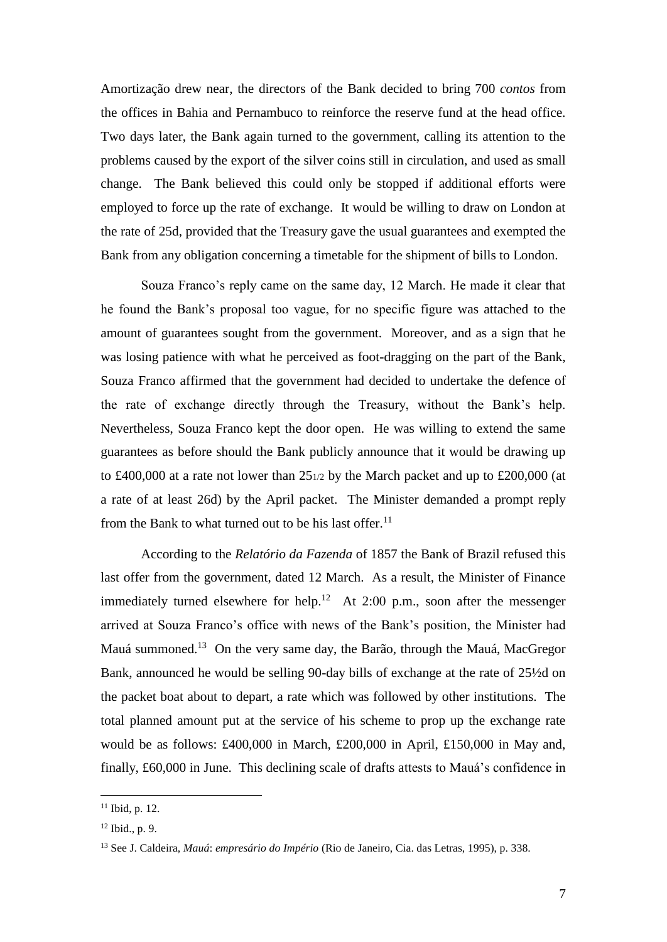Amortização drew near, the directors of the Bank decided to bring 700 *contos* from the offices in Bahia and Pernambuco to reinforce the reserve fund at the head office. Two days later, the Bank again turned to the government, calling its attention to the problems caused by the export of the silver coins still in circulation, and used as small change. The Bank believed this could only be stopped if additional efforts were employed to force up the rate of exchange. It would be willing to draw on London at the rate of 25d, provided that the Treasury gave the usual guarantees and exempted the Bank from any obligation concerning a timetable for the shipment of bills to London.

Souza Franco's reply came on the same day, 12 March. He made it clear that he found the Bank's proposal too vague, for no specific figure was attached to the amount of guarantees sought from the government. Moreover, and as a sign that he was losing patience with what he perceived as foot-dragging on the part of the Bank, Souza Franco affirmed that the government had decided to undertake the defence of the rate of exchange directly through the Treasury, without the Bank's help. Nevertheless, Souza Franco kept the door open. He was willing to extend the same guarantees as before should the Bank publicly announce that it would be drawing up to £400,000 at a rate not lower than 251/2 by the March packet and up to £200,000 (at a rate of at least 26d) by the April packet. The Minister demanded a prompt reply from the Bank to what turned out to be his last offer.<sup>11</sup>

According to the *Relatório da Fazenda* of 1857 the Bank of Brazil refused this last offer from the government, dated 12 March. As a result, the Minister of Finance immediately turned elsewhere for help.<sup>12</sup> At 2:00 p.m., soon after the messenger arrived at Souza Franco's office with news of the Bank's position, the Minister had Mauá summoned.<sup>13</sup> On the very same day, the Barão, through the Mauá, MacGregor Bank, announced he would be selling 90-day bills of exchange at the rate of 25½d on the packet boat about to depart, a rate which was followed by other institutions. The total planned amount put at the service of his scheme to prop up the exchange rate would be as follows: £400,000 in March, £200,000 in April, £150,000 in May and, finally, £60,000 in June. This declining scale of drafts attests to Mauá's confidence in

 $11$  Ibid, p. 12.

<sup>12</sup> Ibid., p. 9.

<sup>13</sup> See J. Caldeira, *Mauá*: *empresário do Império* (Rio de Janeiro, Cia. das Letras, 1995), p. 338.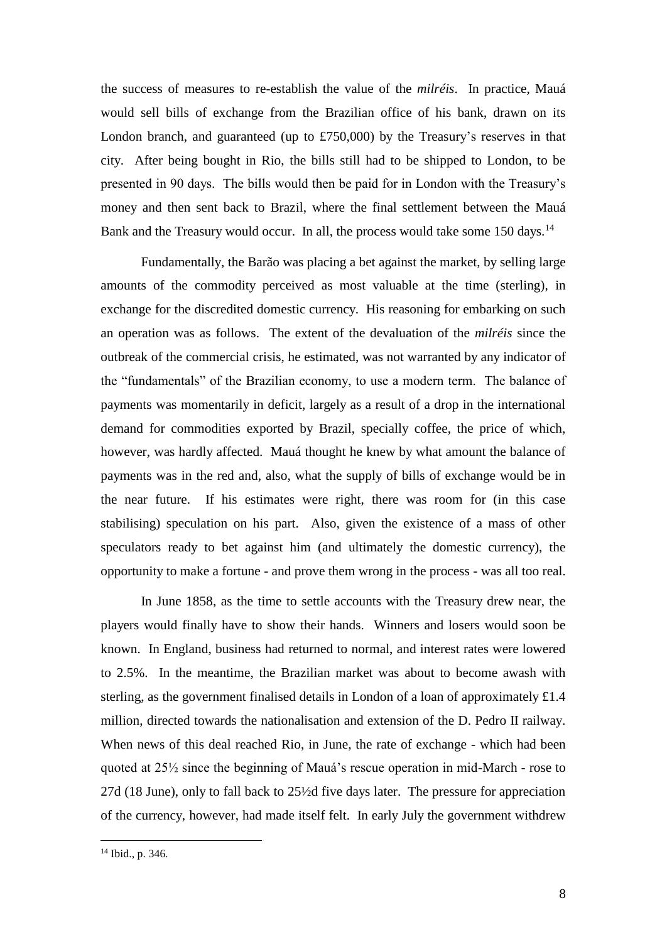the success of measures to re-establish the value of the *milréis*. In practice, Mauá would sell bills of exchange from the Brazilian office of his bank, drawn on its London branch, and guaranteed (up to £750,000) by the Treasury's reserves in that city. After being bought in Rio, the bills still had to be shipped to London, to be presented in 90 days. The bills would then be paid for in London with the Treasury's money and then sent back to Brazil, where the final settlement between the Mauá Bank and the Treasury would occur. In all, the process would take some 150 days.<sup>14</sup>

Fundamentally, the Barão was placing a bet against the market, by selling large amounts of the commodity perceived as most valuable at the time (sterling), in exchange for the discredited domestic currency. His reasoning for embarking on such an operation was as follows. The extent of the devaluation of the *milréis* since the outbreak of the commercial crisis, he estimated, was not warranted by any indicator of the "fundamentals" of the Brazilian economy, to use a modern term. The balance of payments was momentarily in deficit, largely as a result of a drop in the international demand for commodities exported by Brazil, specially coffee, the price of which, however, was hardly affected. Mauá thought he knew by what amount the balance of payments was in the red and, also, what the supply of bills of exchange would be in the near future. If his estimates were right, there was room for (in this case stabilising) speculation on his part. Also, given the existence of a mass of other speculators ready to bet against him (and ultimately the domestic currency), the opportunity to make a fortune - and prove them wrong in the process - was all too real.

In June 1858, as the time to settle accounts with the Treasury drew near, the players would finally have to show their hands. Winners and losers would soon be known. In England, business had returned to normal, and interest rates were lowered to 2.5%. In the meantime, the Brazilian market was about to become awash with sterling, as the government finalised details in London of a loan of approximately £1.4 million, directed towards the nationalisation and extension of the D. Pedro II railway. When news of this deal reached Rio, in June, the rate of exchange - which had been quoted at 25½ since the beginning of Mauá's rescue operation in mid-March - rose to 27d (18 June), only to fall back to 25½d five days later. The pressure for appreciation of the currency, however, had made itself felt. In early July the government withdrew

<sup>14</sup> Ibid., p. 346*.*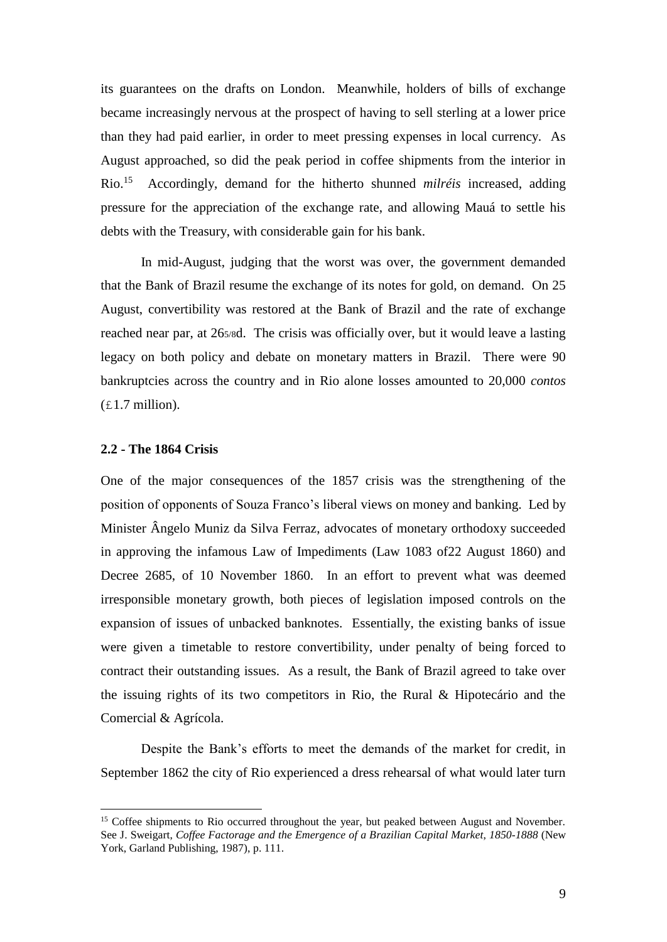its guarantees on the drafts on London. Meanwhile, holders of bills of exchange became increasingly nervous at the prospect of having to sell sterling at a lower price than they had paid earlier, in order to meet pressing expenses in local currency. As August approached, so did the peak period in coffee shipments from the interior in  $Rio.<sup>15</sup>$  Accordingly, demand for the hitherto shunned *milréis* increased, adding pressure for the appreciation of the exchange rate, and allowing Mauá to settle his debts with the Treasury, with considerable gain for his bank.

In mid-August, judging that the worst was over, the government demanded that the Bank of Brazil resume the exchange of its notes for gold, on demand. On 25 August, convertibility was restored at the Bank of Brazil and the rate of exchange reached near par, at 265/8d. The crisis was officially over, but it would leave a lasting legacy on both policy and debate on monetary matters in Brazil. There were 90 bankruptcies across the country and in Rio alone losses amounted to 20,000 *contos*   $(E1.7 \text{ million})$ .

### **2.2 - The 1864 Crisis**

1

One of the major consequences of the 1857 crisis was the strengthening of the position of opponents of Souza Franco's liberal views on money and banking. Led by Minister Ângelo Muniz da Silva Ferraz, advocates of monetary orthodoxy succeeded in approving the infamous Law of Impediments (Law 1083 of22 August 1860) and Decree 2685, of 10 November 1860. In an effort to prevent what was deemed irresponsible monetary growth, both pieces of legislation imposed controls on the expansion of issues of unbacked banknotes. Essentially, the existing banks of issue were given a timetable to restore convertibility, under penalty of being forced to contract their outstanding issues. As a result, the Bank of Brazil agreed to take over the issuing rights of its two competitors in Rio, the Rural & Hipotecário and the Comercial & Agrícola.

Despite the Bank's efforts to meet the demands of the market for credit, in September 1862 the city of Rio experienced a dress rehearsal of what would later turn

<sup>&</sup>lt;sup>15</sup> Coffee shipments to Rio occurred throughout the year, but peaked between August and November. See J. Sweigart, *Coffee Factorage and the Emergence of a Brazilian Capital Market*, *1850-1888* (New York, Garland Publishing, 1987), p. 111.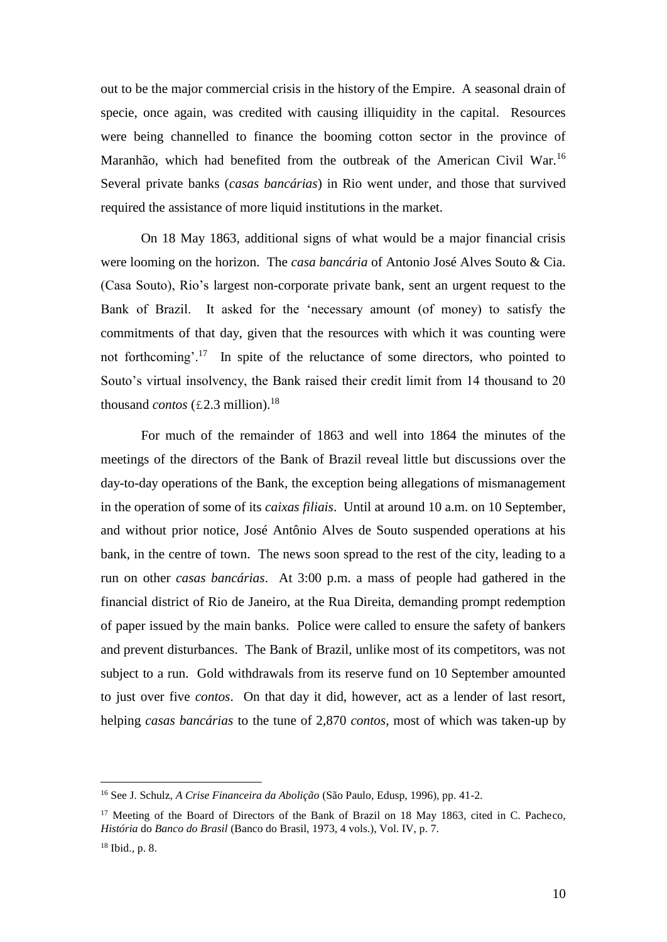out to be the major commercial crisis in the history of the Empire. A seasonal drain of specie, once again, was credited with causing illiquidity in the capital. Resources were being channelled to finance the booming cotton sector in the province of Maranhão, which had benefited from the outbreak of the American Civil War.<sup>16</sup> Several private banks (*casas bancárias*) in Rio went under, and those that survived required the assistance of more liquid institutions in the market.

On 18 May 1863, additional signs of what would be a major financial crisis were looming on the horizon. The *casa bancária* of Antonio José Alves Souto & Cia. (Casa Souto), Rio's largest non-corporate private bank, sent an urgent request to the Bank of Brazil. It asked for the 'necessary amount (of money) to satisfy the commitments of that day, given that the resources with which it was counting were not forthcoming'.<sup>17</sup> In spite of the reluctance of some directors, who pointed to Souto's virtual insolvency, the Bank raised their credit limit from 14 thousand to 20 thousand *contos* (£2.3 million).<sup>18</sup>

For much of the remainder of 1863 and well into 1864 the minutes of the meetings of the directors of the Bank of Brazil reveal little but discussions over the day-to-day operations of the Bank, the exception being allegations of mismanagement in the operation of some of its *caixas filiais*. Until at around 10 a.m. on 10 September, and without prior notice, José Antônio Alves de Souto suspended operations at his bank, in the centre of town. The news soon spread to the rest of the city, leading to a run on other *casas bancárias*. At 3:00 p.m. a mass of people had gathered in the financial district of Rio de Janeiro, at the Rua Direita, demanding prompt redemption of paper issued by the main banks. Police were called to ensure the safety of bankers and prevent disturbances. The Bank of Brazil, unlike most of its competitors, was not subject to a run. Gold withdrawals from its reserve fund on 10 September amounted to just over five *contos*. On that day it did, however, act as a lender of last resort, helping *casas bancárias* to the tune of 2,870 *contos*, most of which was taken-up by

<sup>16</sup> See J. Schulz, *A Crise Financeira da Abolição* (São Paulo, Edusp, 1996), pp. 41-2.

<sup>&</sup>lt;sup>17</sup> Meeting of the Board of Directors of the Bank of Brazil on 18 May 1863, cited in C. Pacheco, *História* do *Banco do Brasil* (Banco do Brasil, 1973, 4 vols.), Vol. IV, p. 7.

<sup>18</sup> Ibid.*,* p. 8.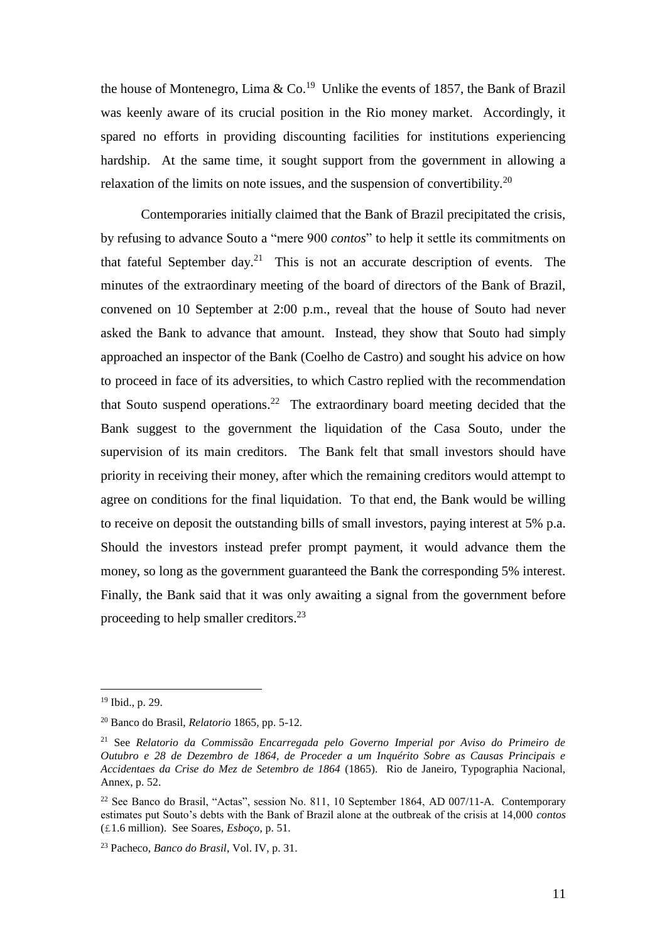the house of Montenegro, Lima  $& Co.<sup>19</sup>$  Unlike the events of 1857, the Bank of Brazil was keenly aware of its crucial position in the Rio money market. Accordingly, it spared no efforts in providing discounting facilities for institutions experiencing hardship. At the same time, it sought support from the government in allowing a relaxation of the limits on note issues, and the suspension of convertibility.<sup>20</sup>

Contemporaries initially claimed that the Bank of Brazil precipitated the crisis, by refusing to advance Souto a "mere 900 *contos*" to help it settle its commitments on that fateful September day.<sup>21</sup> This is not an accurate description of events. The minutes of the extraordinary meeting of the board of directors of the Bank of Brazil, convened on 10 September at 2:00 p.m., reveal that the house of Souto had never asked the Bank to advance that amount. Instead, they show that Souto had simply approached an inspector of the Bank (Coelho de Castro) and sought his advice on how to proceed in face of its adversities, to which Castro replied with the recommendation that Souto suspend operations.<sup>22</sup> The extraordinary board meeting decided that the Bank suggest to the government the liquidation of the Casa Souto, under the supervision of its main creditors. The Bank felt that small investors should have priority in receiving their money, after which the remaining creditors would attempt to agree on conditions for the final liquidation. To that end, the Bank would be willing to receive on deposit the outstanding bills of small investors, paying interest at 5% p.a. Should the investors instead prefer prompt payment, it would advance them the money, so long as the government guaranteed the Bank the corresponding 5% interest. Finally, the Bank said that it was only awaiting a signal from the government before proceeding to help smaller creditors.<sup>23</sup>

<sup>19</sup> Ibid., p. 29.

<sup>20</sup> Banco do Brasil, *Relatorio* 1865, pp. 5-12.

<sup>21</sup> See *Relatorio da Commissão Encarregada pelo Governo Imperial por Aviso do Primeiro de Outubro e 28 de Dezembro de 1864, de Proceder a um Inquérito Sobre as Causas Principais e Accidentaes da Crise do Mez de Setembro de 1864* (1865). Rio de Janeiro, Typographia Nacional, Annex, p. 52.

 $22$  See Banco do Brasil, "Actas", session No. 811, 10 September 1864, AD 007/11-A. Contemporary estimates put Souto's debts with the Bank of Brazil alone at the outbreak of the crisis at 14,000 *contos*  (£1.6 million). See Soares, *Esboço*, p. 51.

<sup>23</sup> Pacheco, *Banco do Brasil*, Vol. IV, p. 31.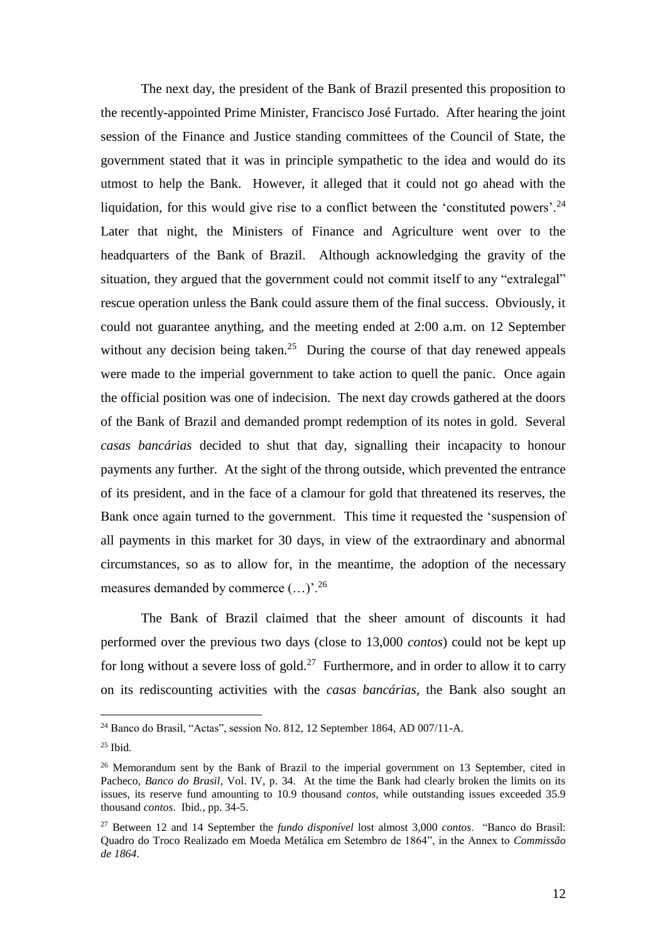The next day, the president of the Bank of Brazil presented this proposition to the recently-appointed Prime Minister, Francisco José Furtado. After hearing the joint session of the Finance and Justice standing committees of the Council of State, the government stated that it was in principle sympathetic to the idea and would do its utmost to help the Bank. However, it alleged that it could not go ahead with the liquidation, for this would give rise to a conflict between the 'constituted powers'.<sup>24</sup> Later that night, the Ministers of Finance and Agriculture went over to the headquarters of the Bank of Brazil. Although acknowledging the gravity of the situation, they argued that the government could not commit itself to any "extralegal" rescue operation unless the Bank could assure them of the final success. Obviously, it could not guarantee anything, and the meeting ended at 2:00 a.m. on 12 September without any decision being taken.<sup>25</sup> During the course of that day renewed appeals were made to the imperial government to take action to quell the panic. Once again the official position was one of indecision. The next day crowds gathered at the doors of the Bank of Brazil and demanded prompt redemption of its notes in gold. Several *casas bancárias* decided to shut that day, signalling their incapacity to honour payments any further. At the sight of the throng outside, which prevented the entrance of its president, and in the face of a clamour for gold that threatened its reserves, the Bank once again turned to the government. This time it requested the 'suspension of all payments in this market for 30 days, in view of the extraordinary and abnormal circumstances, so as to allow for, in the meantime, the adoption of the necessary measures demanded by commerce  $(...)$ <sup>26</sup>

The Bank of Brazil claimed that the sheer amount of discounts it had performed over the previous two days (close to 13,000 *contos*) could not be kept up for long without a severe loss of gold.<sup>27</sup> Furthermore, and in order to allow it to carry on its rediscounting activities with the *casas bancárias*, the Bank also sought an

<sup>24</sup> Banco do Brasil, "Actas", session No. 812, 12 September 1864, AD 007/11-A.

<sup>25</sup> Ibid*.*

<sup>&</sup>lt;sup>26</sup> Memorandum sent by the Bank of Brazil to the imperial government on 13 September, cited in Pacheco, *Banco do Brasil*, Vol. IV, p. 34. At the time the Bank had clearly broken the limits on its issues, its reserve fund amounting to 10.9 thousand *contos*, while outstanding issues exceeded 35.9 thousand *contos*. Ibid*.*, pp. 34-5.

<sup>27</sup> Between 12 and 14 September the *fundo disponível* lost almost 3,000 *contos*. "Banco do Brasil: Quadro do Troco Realizado em Moeda Metálica em Setembro de 1864", in the Annex to *Commissão de 1864*.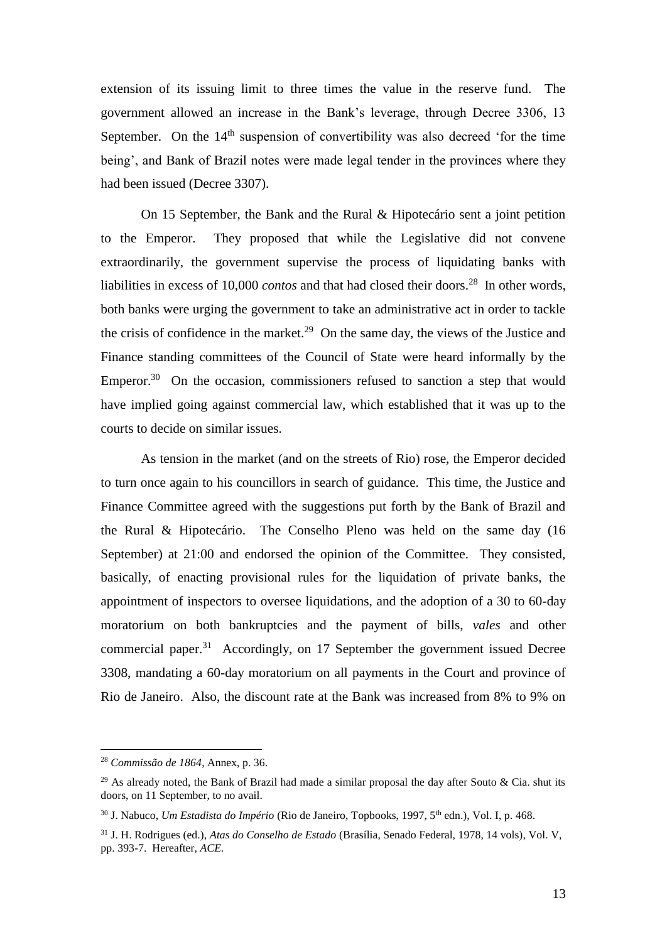extension of its issuing limit to three times the value in the reserve fund. The government allowed an increase in the Bank's leverage, through Decree 3306, 13 September. On the  $14<sup>th</sup>$  suspension of convertibility was also decreed 'for the time being', and Bank of Brazil notes were made legal tender in the provinces where they had been issued (Decree 3307).

On 15 September, the Bank and the Rural & Hipotecário sent a joint petition to the Emperor. They proposed that while the Legislative did not convene extraordinarily, the government supervise the process of liquidating banks with liabilities in excess of 10,000 *contos* and that had closed their doors.<sup>28</sup> In other words, both banks were urging the government to take an administrative act in order to tackle the crisis of confidence in the market.<sup>29</sup> On the same day, the views of the Justice and Finance standing committees of the Council of State were heard informally by the Emperor.<sup>30</sup> On the occasion, commissioners refused to sanction a step that would have implied going against commercial law, which established that it was up to the courts to decide on similar issues.

As tension in the market (and on the streets of Rio) rose, the Emperor decided to turn once again to his councillors in search of guidance. This time, the Justice and Finance Committee agreed with the suggestions put forth by the Bank of Brazil and the Rural & Hipotecário. The Conselho Pleno was held on the same day (16 September) at 21:00 and endorsed the opinion of the Committee. They consisted, basically, of enacting provisional rules for the liquidation of private banks, the appointment of inspectors to oversee liquidations, and the adoption of a 30 to 60-day moratorium on both bankruptcies and the payment of bills, *vales* and other commercial paper.<sup>31</sup> Accordingly, on 17 September the government issued Decree 3308, mandating a 60-day moratorium on all payments in the Court and province of Rio de Janeiro. Also, the discount rate at the Bank was increased from 8% to 9% on

<sup>28</sup> *Commissão de 1864*, Annex, p. 36.

<sup>&</sup>lt;sup>29</sup> As already noted, the Bank of Brazil had made a similar proposal the day after Souto & Cia. shut its doors, on 11 September, to no avail.

<sup>30</sup> J. Nabuco, *Um Estadista do Império* (Rio de Janeiro, Topbooks, 1997, 5th edn.), Vol. I, p. 468.

<sup>31</sup> J. H. Rodrigues (ed.), *Atas do Conselho de Estado* (Brasília, Senado Federal, 1978, 14 vols), Vol. V, pp. 393-7. Hereafter, *ACE.*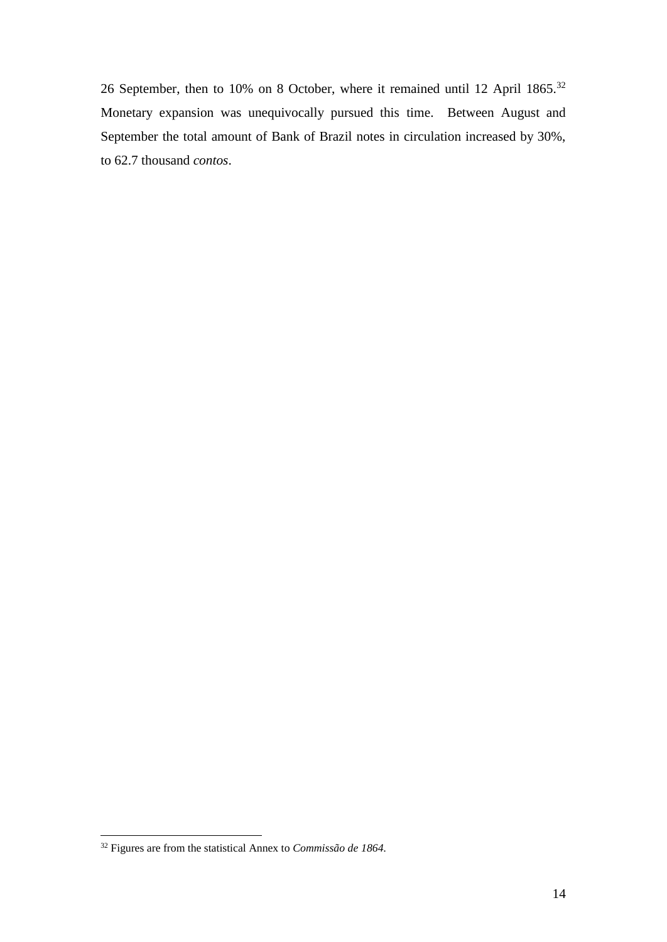26 September, then to 10% on 8 October, where it remained until 12 April 1865.<sup>32</sup> Monetary expansion was unequivocally pursued this time. Between August and September the total amount of Bank of Brazil notes in circulation increased by 30%, to 62.7 thousand *contos*.

<sup>32</sup> Figures are from the statistical Annex to *Commissão de 1864.*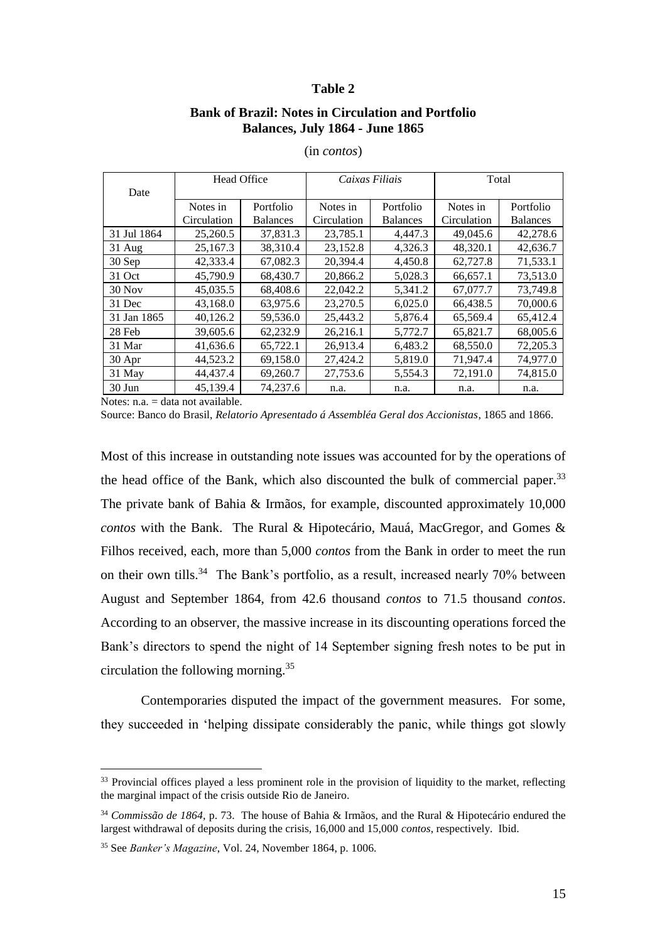#### **Table 2**

# **Bank of Brazil: Notes in Circulation and Portfolio Balances, July 1864 - June 1865**

|             | <b>Head Office</b> |                 | Caixas Filiais |                 | Total       |                 |  |
|-------------|--------------------|-----------------|----------------|-----------------|-------------|-----------------|--|
| Date        |                    |                 |                |                 |             |                 |  |
|             | Notes in           | Portfolio       | Notes in       | Portfolio       | Notes in    | Portfolio       |  |
|             | Circulation        | <b>Balances</b> | Circulation    | <b>Balances</b> | Circulation | <b>Balances</b> |  |
| 31 Jul 1864 | 25,260.5           | 37,831.3        | 23,785.1       | 4,447.3         | 49,045.6    | 42,278.6        |  |
| $31$ Aug    | 25,167.3           | 38.310.4        | 23,152.8       | 4,326.3         | 48,320.1    | 42,636.7        |  |
| 30 Sep      | 42,333.4           | 67,082.3        | 20,394.4       | 4,450.8         | 62,727.8    | 71,533.1        |  |
| 31 Oct      | 45,790.9           | 68,430.7        | 20,866.2       | 5,028.3         | 66,657.1    | 73,513.0        |  |
| $30$ Nov    | 45,035.5           | 68,408.6        | 22,042.2       | 5,341.2         | 67,077.7    | 73,749.8        |  |
| 31 Dec      | 43,168.0           | 63,975.6        | 23,270.5       | 6,025.0         | 66,438.5    | 70,000.6        |  |
| 31 Jan 1865 | 40,126.2           | 59,536.0        | 25,443.2       | 5,876.4         | 65,569.4    | 65,412.4        |  |
| 28 Feb      | 39,605.6           | 62,232.9        | 26,216.1       | 5,772.7         | 65,821.7    | 68,005.6        |  |
| 31 Mar      | 41,636.6           | 65,722.1        | 26,913.4       | 6,483.2         | 68,550.0    | 72,205.3        |  |
| 30 Apr      | 44,523.2           | 69,158.0        | 27,424.2       | 5,819.0         | 71,947.4    | 74,977.0        |  |
| 31 May      | 44,437.4           | 69,260.7        | 27,753.6       | 5,554.3         | 72,191.0    | 74,815.0        |  |
| $30$ Jun    | 45,139.4           | 74,237.6        | n.a.           | n.a.            | n.a.        | n.a.            |  |

## (in *contos*)

Notes:  $n.a. = data not available.$ 

<u>.</u>

Source: Banco do Brasil, *Relatorio Apresentado á Assembléa Geral dos Accionistas*, 1865 and 1866.

Most of this increase in outstanding note issues was accounted for by the operations of the head office of the Bank, which also discounted the bulk of commercial paper. $33$ The private bank of Bahia & Irmãos, for example, discounted approximately 10,000 *contos* with the Bank. The Rural & Hipotecário, Mauá, MacGregor, and Gomes & Filhos received, each, more than 5,000 *contos* from the Bank in order to meet the run on their own tills.<sup>34</sup> The Bank's portfolio, as a result, increased nearly 70% between August and September 1864, from 42.6 thousand *contos* to 71.5 thousand *contos*. According to an observer, the massive increase in its discounting operations forced the Bank's directors to spend the night of 14 September signing fresh notes to be put in circulation the following morning.<sup>35</sup>

Contemporaries disputed the impact of the government measures. For some, they succeeded in 'helping dissipate considerably the panic, while things got slowly

<sup>&</sup>lt;sup>33</sup> Provincial offices played a less prominent role in the provision of liquidity to the market, reflecting the marginal impact of the crisis outside Rio de Janeiro.

<sup>34</sup> *Commissão de 1864,* p. 73. The house of Bahia & Irmãos, and the Rural & Hipotecário endured the largest withdrawal of deposits during the crisis, 16,000 and 15,000 *contos*, respectively. Ibid.

<sup>35</sup> See *Banker's Magazine*, Vol. 24, November 1864, p. 1006.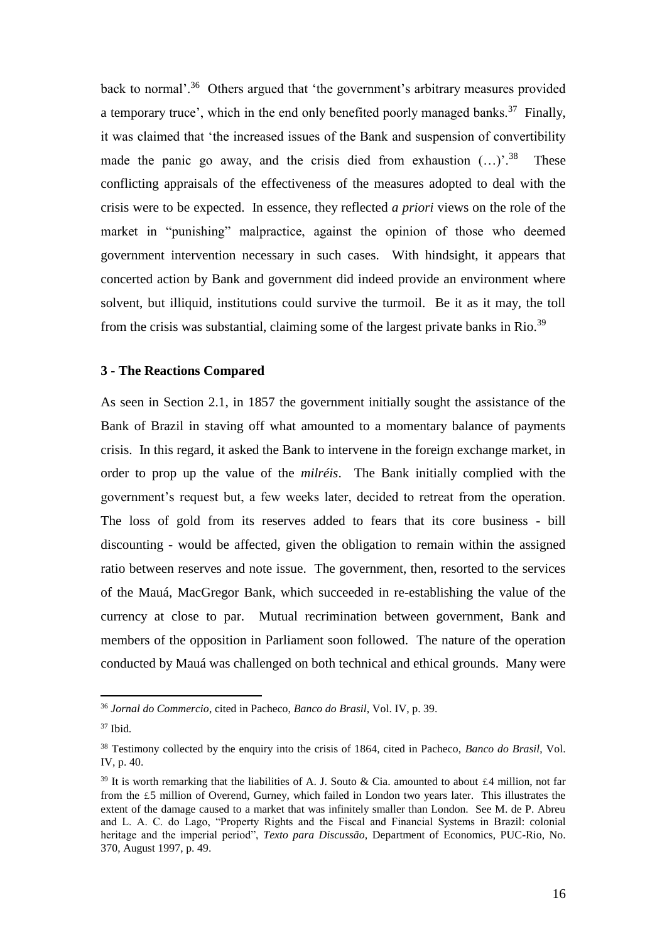back to normal'.<sup>36</sup> Others argued that 'the government's arbitrary measures provided a temporary truce', which in the end only benefited poorly managed banks.<sup>37</sup> Finally, it was claimed that 'the increased issues of the Bank and suspension of convertibility made the panic go away, and the crisis died from exhaustion  $(...)$ <sup>38</sup> These conflicting appraisals of the effectiveness of the measures adopted to deal with the crisis were to be expected. In essence, they reflected *a priori* views on the role of the market in "punishing" malpractice, against the opinion of those who deemed government intervention necessary in such cases. With hindsight, it appears that concerted action by Bank and government did indeed provide an environment where solvent, but illiquid, institutions could survive the turmoil. Be it as it may, the toll from the crisis was substantial, claiming some of the largest private banks in Rio.<sup>39</sup>

# **3 - The Reactions Compared**

As seen in Section 2.1, in 1857 the government initially sought the assistance of the Bank of Brazil in staving off what amounted to a momentary balance of payments crisis. In this regard, it asked the Bank to intervene in the foreign exchange market, in order to prop up the value of the *milréis*. The Bank initially complied with the government's request but, a few weeks later, decided to retreat from the operation. The loss of gold from its reserves added to fears that its core business - bill discounting - would be affected, given the obligation to remain within the assigned ratio between reserves and note issue. The government, then, resorted to the services of the Mauá, MacGregor Bank, which succeeded in re-establishing the value of the currency at close to par. Mutual recrimination between government, Bank and members of the opposition in Parliament soon followed. The nature of the operation conducted by Mauá was challenged on both technical and ethical grounds. Many were

<sup>36</sup> *Jornal do Commercio*, cited in Pacheco, *Banco do Brasil*, Vol. IV, p. 39.

<sup>37</sup> Ibid*.*

<sup>38</sup> Testimony collected by the enquiry into the crisis of 1864, cited in Pacheco, *Banco do Brasil*, Vol. IV, p. 40.

<sup>&</sup>lt;sup>39</sup> It is worth remarking that the liabilities of A. J. Souto & Cia. amounted to about  $\epsilon$ 4 million, not far from the £5 million of Overend, Gurney, which failed in London two years later. This illustrates the extent of the damage caused to a market that was infinitely smaller than London. See M. de P. Abreu and L. A. C. do Lago, "Property Rights and the Fiscal and Financial Systems in Brazil: colonial heritage and the imperial period", *Texto para Discussão*, Department of Economics, PUC-Rio, No. 370, August 1997, p. 49.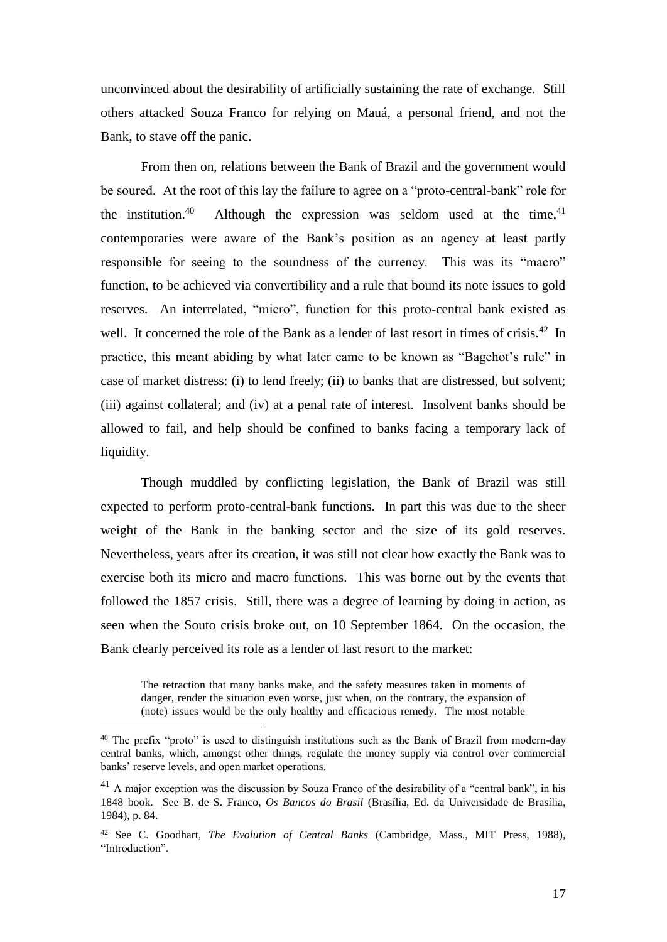unconvinced about the desirability of artificially sustaining the rate of exchange. Still others attacked Souza Franco for relying on Mauá, a personal friend, and not the Bank, to stave off the panic.

From then on, relations between the Bank of Brazil and the government would be soured. At the root of this lay the failure to agree on a "proto-central-bank" role for the institution.<sup>40</sup> Although the expression was seldom used at the time,  $41$ contemporaries were aware of the Bank's position as an agency at least partly responsible for seeing to the soundness of the currency. This was its "macro" function, to be achieved via convertibility and a rule that bound its note issues to gold reserves. An interrelated, "micro", function for this proto-central bank existed as well. It concerned the role of the Bank as a lender of last resort in times of crisis.<sup>42</sup> In practice, this meant abiding by what later came to be known as "Bagehot's rule" in case of market distress: (i) to lend freely; (ii) to banks that are distressed, but solvent; (iii) against collateral; and (iv) at a penal rate of interest. Insolvent banks should be allowed to fail, and help should be confined to banks facing a temporary lack of liquidity.

Though muddled by conflicting legislation, the Bank of Brazil was still expected to perform proto-central-bank functions. In part this was due to the sheer weight of the Bank in the banking sector and the size of its gold reserves. Nevertheless, years after its creation, it was still not clear how exactly the Bank was to exercise both its micro and macro functions. This was borne out by the events that followed the 1857 crisis. Still, there was a degree of learning by doing in action, as seen when the Souto crisis broke out, on 10 September 1864. On the occasion, the Bank clearly perceived its role as a lender of last resort to the market:

The retraction that many banks make, and the safety measures taken in moments of danger, render the situation even worse, just when, on the contrary, the expansion of (note) issues would be the only healthy and efficacious remedy. The most notable

<sup>&</sup>lt;sup>40</sup> The prefix "proto" is used to distinguish institutions such as the Bank of Brazil from modern-day central banks, which, amongst other things, regulate the money supply via control over commercial banks' reserve levels, and open market operations.

<sup>&</sup>lt;sup>41</sup> A major exception was the discussion by Souza Franco of the desirability of a "central bank", in his 1848 book. See B. de S. Franco, *Os Bancos do Brasil* (Brasília, Ed. da Universidade de Brasília, 1984), p. 84.

<sup>42</sup> See C. Goodhart, *The Evolution of Central Banks* (Cambridge, Mass., MIT Press, 1988), "Introduction".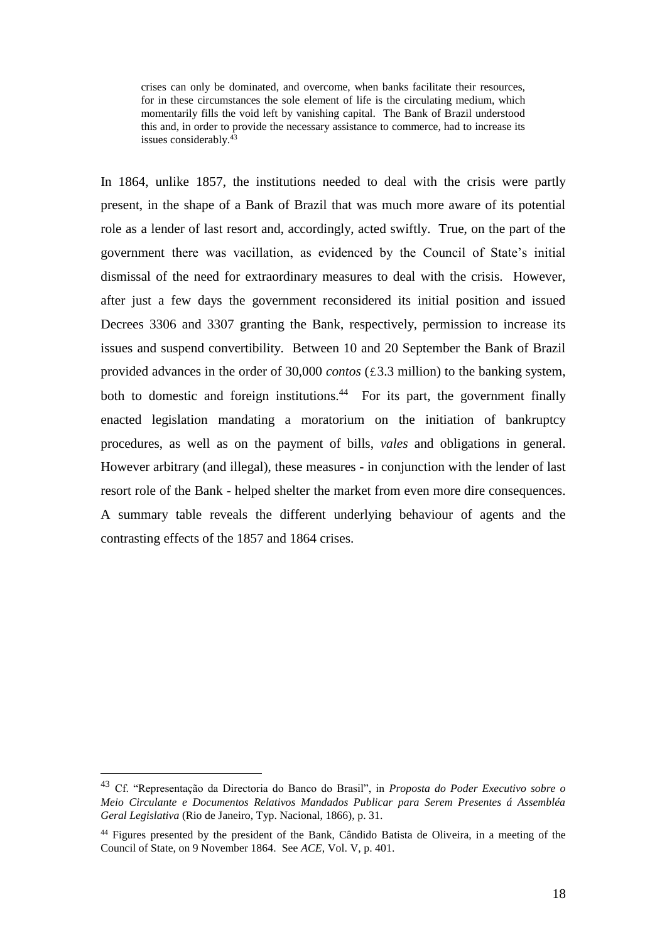crises can only be dominated, and overcome, when banks facilitate their resources, for in these circumstances the sole element of life is the circulating medium, which momentarily fills the void left by vanishing capital. The Bank of Brazil understood this and, in order to provide the necessary assistance to commerce, had to increase its issues considerably.<sup>43</sup>

In 1864, unlike 1857, the institutions needed to deal with the crisis were partly present, in the shape of a Bank of Brazil that was much more aware of its potential role as a lender of last resort and, accordingly, acted swiftly. True, on the part of the government there was vacillation, as evidenced by the Council of State's initial dismissal of the need for extraordinary measures to deal with the crisis. However, after just a few days the government reconsidered its initial position and issued Decrees 3306 and 3307 granting the Bank, respectively, permission to increase its issues and suspend convertibility. Between 10 and 20 September the Bank of Brazil provided advances in the order of 30,000 *contos* (£3.3 million) to the banking system, both to domestic and foreign institutions.<sup>44</sup> For its part, the government finally enacted legislation mandating a moratorium on the initiation of bankruptcy procedures, as well as on the payment of bills, *vales* and obligations in general. However arbitrary (and illegal), these measures - in conjunction with the lender of last resort role of the Bank - helped shelter the market from even more dire consequences. A summary table reveals the different underlying behaviour of agents and the contrasting effects of the 1857 and 1864 crises.

<sup>43</sup> Cf. "Representação da Directoria do Banco do Brasil", in *Proposta do Poder Executivo sobre o Meio Circulante e Documentos Relativos Mandados Publicar para Serem Presentes á Assembléa Geral Legislativa* (Rio de Janeiro, Typ. Nacional, 1866), p. 31.

<sup>44</sup> Figures presented by the president of the Bank, Cândido Batista de Oliveira, in a meeting of the Council of State, on 9 November 1864. See *ACE*, Vol. V, p. 401.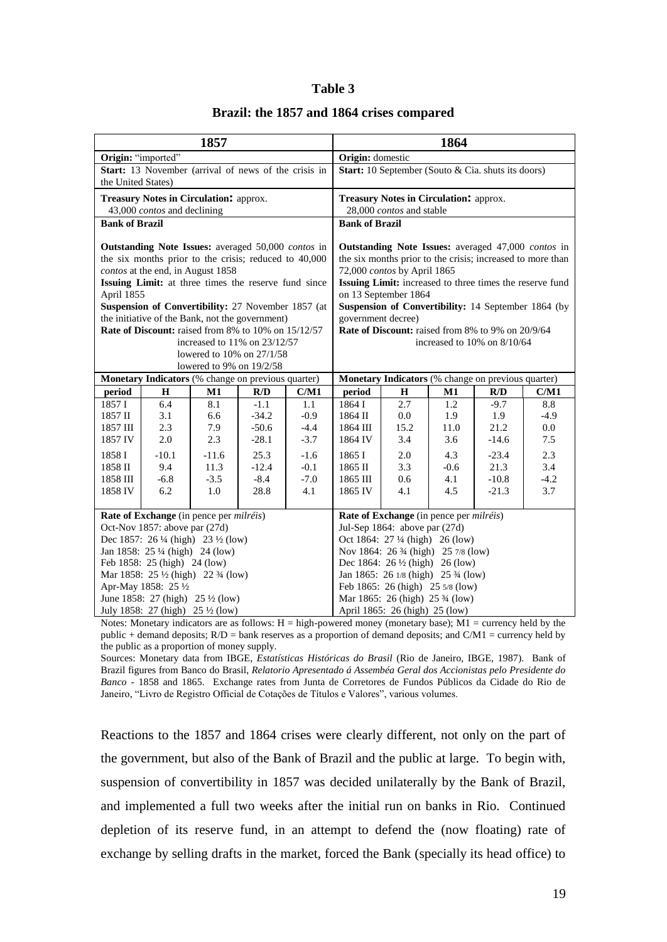#### **Table 3**

|  |  |  |  |  |  | Brazil: the 1857 and 1864 crises compared |
|--|--|--|--|--|--|-------------------------------------------|
|--|--|--|--|--|--|-------------------------------------------|

| 1857                                                                                                                                             |                                                      |                              |                                         | 1864                                                                                                                                            |                                        |                                                          |                                                    |                                                          |               |
|--------------------------------------------------------------------------------------------------------------------------------------------------|------------------------------------------------------|------------------------------|-----------------------------------------|-------------------------------------------------------------------------------------------------------------------------------------------------|----------------------------------------|----------------------------------------------------------|----------------------------------------------------|----------------------------------------------------------|---------------|
| Origin: "imported"                                                                                                                               |                                                      |                              |                                         | Origin: domestic                                                                                                                                |                                        |                                                          |                                                    |                                                          |               |
| Start: 13 November (arrival of news of the crisis in                                                                                             |                                                      |                              |                                         |                                                                                                                                                 |                                        |                                                          | Start: 10 September (Souto & Cia. shuts its doors) |                                                          |               |
| the United States)                                                                                                                               |                                                      |                              |                                         |                                                                                                                                                 |                                        |                                                          |                                                    |                                                          |               |
|                                                                                                                                                  | Treasury Notes in Circulation: approx.               |                              |                                         |                                                                                                                                                 | Treasury Notes in Circulation: approx. |                                                          |                                                    |                                                          |               |
|                                                                                                                                                  | 43,000 contos and declining                          |                              |                                         |                                                                                                                                                 |                                        | 28,000 contos and stable                                 |                                                    |                                                          |               |
| <b>Bank of Brazil</b>                                                                                                                            |                                                      |                              |                                         |                                                                                                                                                 | <b>Bank of Brazil</b>                  |                                                          |                                                    |                                                          |               |
| Outstanding Note Issues: averaged 50,000 contos in<br>the six months prior to the crisis; reduced to 40,000<br>contos at the end, in August 1858 |                                                      |                              |                                         | Outstanding Note Issues: averaged 47,000 contos in<br>the six months prior to the crisis; increased to more than<br>72,000 contos by April 1865 |                                        |                                                          |                                                    |                                                          |               |
|                                                                                                                                                  | Issuing Limit: at three times the reserve fund since |                              |                                         |                                                                                                                                                 |                                        | on 13 September 1864                                     |                                                    | Issuing Limit: increased to three times the reserve fund |               |
| April 1855                                                                                                                                       | Suspension of Convertibility: 27 November 1857 (at   |                              |                                         |                                                                                                                                                 |                                        |                                                          |                                                    | Suspension of Convertibility: 14 September 1864 (by      |               |
|                                                                                                                                                  | the initiative of the Bank, not the government)      |                              |                                         |                                                                                                                                                 | government decree)                     |                                                          |                                                    |                                                          |               |
|                                                                                                                                                  | Rate of Discount: raised from 8% to 10% on 15/12/57  |                              |                                         |                                                                                                                                                 |                                        | <b>Rate of Discount:</b> raised from 8% to 9% on 20/9/64 |                                                    |                                                          |               |
|                                                                                                                                                  |                                                      | increased to 11% on 23/12/57 |                                         |                                                                                                                                                 |                                        |                                                          |                                                    | increased to 10% on 8/10/64                              |               |
|                                                                                                                                                  |                                                      | lowered to 10% on 27/1/58    |                                         |                                                                                                                                                 |                                        |                                                          |                                                    |                                                          |               |
|                                                                                                                                                  |                                                      | lowered to 9% on 19/2/58     |                                         |                                                                                                                                                 |                                        |                                                          |                                                    |                                                          |               |
| Monetary Indicators (% change on previous quarter)                                                                                               |                                                      |                              |                                         |                                                                                                                                                 |                                        | Monetary Indicators (% change on previous quarter)       |                                                    |                                                          |               |
| period                                                                                                                                           | $\mathbf H$                                          | $\mathbf{M1}$                | R/D                                     | C/M1                                                                                                                                            | period                                 | $\mathbf H$                                              | M1                                                 | R/D                                                      | C/M1          |
| 1857 I                                                                                                                                           | 6.4                                                  | 8.1                          | $-1.1$                                  | 1.1                                                                                                                                             | 1864 I                                 | 2.7                                                      | 1.2                                                | $-9.7$                                                   | 8.8           |
| 1857 II                                                                                                                                          | 3.1                                                  | 6.6                          | $-34.2$                                 | $-0.9$                                                                                                                                          | 1864 II                                | 0.0                                                      | 1.9                                                | 1.9                                                      | $-4.9$        |
| 1857 III                                                                                                                                         | 2.3                                                  | 7.9                          | $-50.6$                                 | $-4.4$                                                                                                                                          | 1864 III<br>1864 IV                    | 15.2                                                     | 11.0                                               | 21.2                                                     | 0.0           |
| 1857 IV                                                                                                                                          | 2.0                                                  | 2.3                          | $-28.1$                                 | $-3.7$                                                                                                                                          |                                        | 3.4                                                      | 3.6                                                | $-14.6$                                                  | 7.5           |
| 1858 I                                                                                                                                           | $-10.1$                                              | $-11.6$                      | 25.3                                    | $-1.6$                                                                                                                                          | 1865 I                                 | 2.0                                                      | 4.3                                                | $-23.4$                                                  | 2.3           |
| $1858~\mathrm{II}$<br>1858 III                                                                                                                   | 9.4<br>$-6.8$                                        | 11.3<br>$-3.5$               | $-12.4$<br>$-8.4$                       | $-0.1$<br>$-7.0$                                                                                                                                | 1865 II<br>1865 III                    | 3.3<br>0.6                                               | $-0.6$<br>4.1                                      | 21.3<br>$-10.8$                                          | 3.4<br>$-4.2$ |
| 1858 IV                                                                                                                                          | 6.2                                                  | 1.0                          | 28.8                                    | 4.1                                                                                                                                             | 1865 IV                                | 4.1                                                      | 4.5                                                | $-21.3$                                                  | 3.7           |
|                                                                                                                                                  |                                                      |                              |                                         |                                                                                                                                                 |                                        |                                                          |                                                    |                                                          |               |
| Rate of Exchange (in pence per milréis)                                                                                                          |                                                      |                              | Rate of Exchange (in pence per milréis) |                                                                                                                                                 |                                        |                                                          |                                                    |                                                          |               |
| Oct-Nov 1857: above par (27d)                                                                                                                    |                                                      |                              | Jul-Sep 1864: above par (27d)           |                                                                                                                                                 |                                        |                                                          |                                                    |                                                          |               |
| Dec 1857: 26 1/4 (high) 23 1/2 (low)                                                                                                             |                                                      |                              | Oct 1864: 27 1/4 (high) 26 (low)        |                                                                                                                                                 |                                        |                                                          |                                                    |                                                          |               |
| Jan 1858: 25 ¼ (high) 24 (low)                                                                                                                   |                                                      |                              |                                         | Nov 1864: 26 3/4 (high) 25 7/8 (low)                                                                                                            |                                        |                                                          |                                                    |                                                          |               |
| Feb 1858: 25 (high) 24 (low)                                                                                                                     |                                                      |                              |                                         | Dec 1864: $26\frac{1}{2}$ (high) 26 (low)                                                                                                       |                                        |                                                          |                                                    |                                                          |               |
| Mar 1858: 25 1/2 (high) 22 3/4 (low)                                                                                                             |                                                      |                              |                                         | Jan 1865: 26 $1/8$ (high) 25 $\frac{3}{4}$ (low)                                                                                                |                                        |                                                          |                                                    |                                                          |               |
| Apr-May 1858: 25 1/2                                                                                                                             |                                                      |                              |                                         | Feb 1865: 26 (high) 25 5/8 (low)                                                                                                                |                                        |                                                          |                                                    |                                                          |               |
| June 1858: 27 (high) $25\frac{1}{2}$ (low)                                                                                                       |                                                      |                              |                                         | Mar 1865: 26 (high) 25 3/4 (low)                                                                                                                |                                        |                                                          |                                                    |                                                          |               |
| July 1858: 27 (high) 25 1/2 (low)                                                                                                                |                                                      |                              |                                         |                                                                                                                                                 | April 1865: 26 (high) 25 (low)         |                                                          |                                                    |                                                          |               |

Notes: Monetary indicators are as follows:  $H = high$ -powered money (monetary base);  $M1 =$  currency held by the public + demand deposits; R/D = bank reserves as a proportion of demand deposits; and C/M1 = currency held by the public as a proportion of money supply.

Sources: Monetary data from IBGE, *Estatísticas Históricas do Brasil* (Rio de Janeiro, IBGE, 1987). Bank of Brazil figures from Banco do Brasil, *Relatorio Apresentado á Assembéa Geral dos Accionistas pelo Presidente do Banco* - 1858 and 1865. Exchange rates from Junta de Corretores de Fundos Públicos da Cidade do Rio de Janeiro, "Livro de Registro Official de Cotações de Títulos e Valores", various volumes.

Reactions to the 1857 and 1864 crises were clearly different, not only on the part of the government, but also of the Bank of Brazil and the public at large. To begin with, suspension of convertibility in 1857 was decided unilaterally by the Bank of Brazil, and implemented a full two weeks after the initial run on banks in Rio. Continued depletion of its reserve fund, in an attempt to defend the (now floating) rate of exchange by selling drafts in the market, forced the Bank (specially its head office) to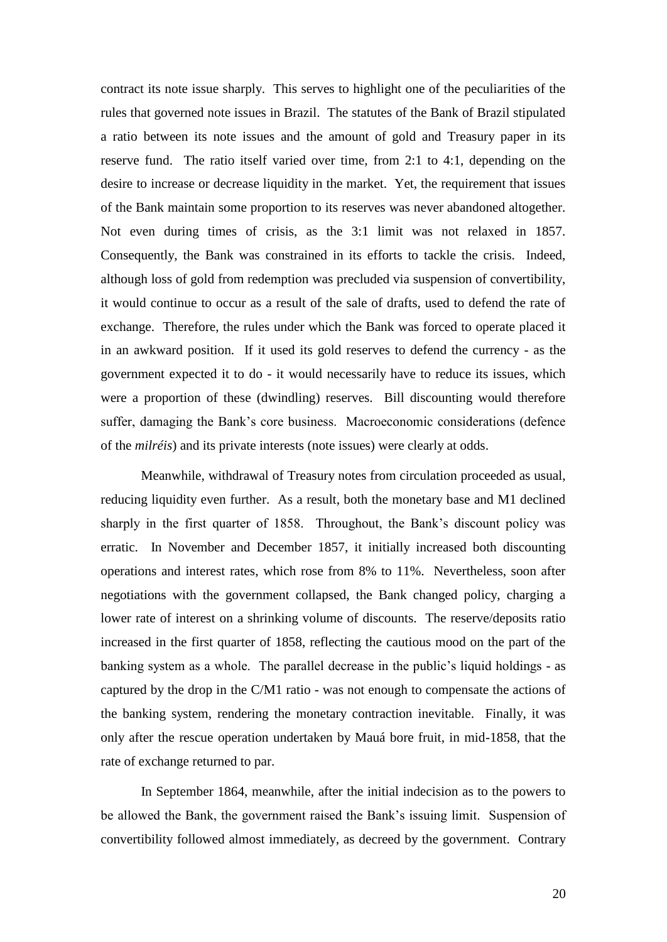contract its note issue sharply. This serves to highlight one of the peculiarities of the rules that governed note issues in Brazil. The statutes of the Bank of Brazil stipulated a ratio between its note issues and the amount of gold and Treasury paper in its reserve fund. The ratio itself varied over time, from 2:1 to 4:1, depending on the desire to increase or decrease liquidity in the market. Yet, the requirement that issues of the Bank maintain some proportion to its reserves was never abandoned altogether. Not even during times of crisis, as the 3:1 limit was not relaxed in 1857. Consequently, the Bank was constrained in its efforts to tackle the crisis. Indeed, although loss of gold from redemption was precluded via suspension of convertibility, it would continue to occur as a result of the sale of drafts, used to defend the rate of exchange. Therefore, the rules under which the Bank was forced to operate placed it in an awkward position. If it used its gold reserves to defend the currency - as the government expected it to do - it would necessarily have to reduce its issues, which were a proportion of these (dwindling) reserves. Bill discounting would therefore suffer, damaging the Bank's core business. Macroeconomic considerations (defence of the *milréis*) and its private interests (note issues) were clearly at odds.

Meanwhile, withdrawal of Treasury notes from circulation proceeded as usual, reducing liquidity even further. As a result, both the monetary base and M1 declined sharply in the first quarter of 1858. Throughout, the Bank's discount policy was erratic. In November and December 1857, it initially increased both discounting operations and interest rates, which rose from 8% to 11%. Nevertheless, soon after negotiations with the government collapsed, the Bank changed policy, charging a lower rate of interest on a shrinking volume of discounts. The reserve/deposits ratio increased in the first quarter of 1858, reflecting the cautious mood on the part of the banking system as a whole. The parallel decrease in the public's liquid holdings - as captured by the drop in the C/M1 ratio - was not enough to compensate the actions of the banking system, rendering the monetary contraction inevitable. Finally, it was only after the rescue operation undertaken by Mauá bore fruit, in mid-1858, that the rate of exchange returned to par.

In September 1864, meanwhile, after the initial indecision as to the powers to be allowed the Bank, the government raised the Bank's issuing limit. Suspension of convertibility followed almost immediately, as decreed by the government. Contrary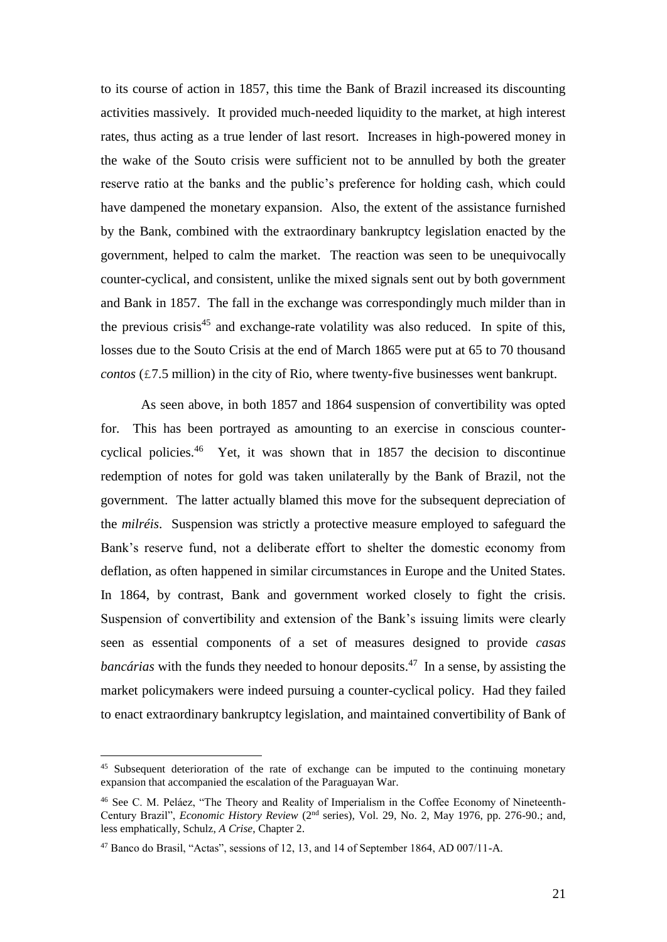to its course of action in 1857, this time the Bank of Brazil increased its discounting activities massively. It provided much-needed liquidity to the market, at high interest rates, thus acting as a true lender of last resort. Increases in high-powered money in the wake of the Souto crisis were sufficient not to be annulled by both the greater reserve ratio at the banks and the public's preference for holding cash, which could have dampened the monetary expansion. Also, the extent of the assistance furnished by the Bank, combined with the extraordinary bankruptcy legislation enacted by the government, helped to calm the market. The reaction was seen to be unequivocally counter-cyclical, and consistent, unlike the mixed signals sent out by both government and Bank in 1857. The fall in the exchange was correspondingly much milder than in the previous crisis<sup>45</sup> and exchange-rate volatility was also reduced. In spite of this, losses due to the Souto Crisis at the end of March 1865 were put at 65 to 70 thousand *contos* (£7.5 million) in the city of Rio, where twenty-five businesses went bankrupt.

As seen above, in both 1857 and 1864 suspension of convertibility was opted for. This has been portrayed as amounting to an exercise in conscious countercyclical policies.<sup>46</sup> Yet, it was shown that in 1857 the decision to discontinue redemption of notes for gold was taken unilaterally by the Bank of Brazil, not the government. The latter actually blamed this move for the subsequent depreciation of the *milréis*. Suspension was strictly a protective measure employed to safeguard the Bank's reserve fund, not a deliberate effort to shelter the domestic economy from deflation, as often happened in similar circumstances in Europe and the United States. In 1864, by contrast, Bank and government worked closely to fight the crisis. Suspension of convertibility and extension of the Bank's issuing limits were clearly seen as essential components of a set of measures designed to provide *casas bancárias* with the funds they needed to honour deposits.<sup>47</sup> In a sense, by assisting the market policymakers were indeed pursuing a counter-cyclical policy. Had they failed to enact extraordinary bankruptcy legislation, and maintained convertibility of Bank of

<sup>&</sup>lt;sup>45</sup> Subsequent deterioration of the rate of exchange can be imputed to the continuing monetary expansion that accompanied the escalation of the Paraguayan War.

<sup>46</sup> See C. M. Peláez, "The Theory and Reality of Imperialism in the Coffee Economy of Nineteenth-Century Brazil", *Economic History Review* (2<sup>nd</sup> series), Vol. 29, No. 2, May 1976, pp. 276-90.; and, less emphatically, Schulz, *A Crise*, Chapter 2.

<sup>47</sup> Banco do Brasil, "Actas", sessions of 12, 13, and 14 of September 1864, AD 007/11-A.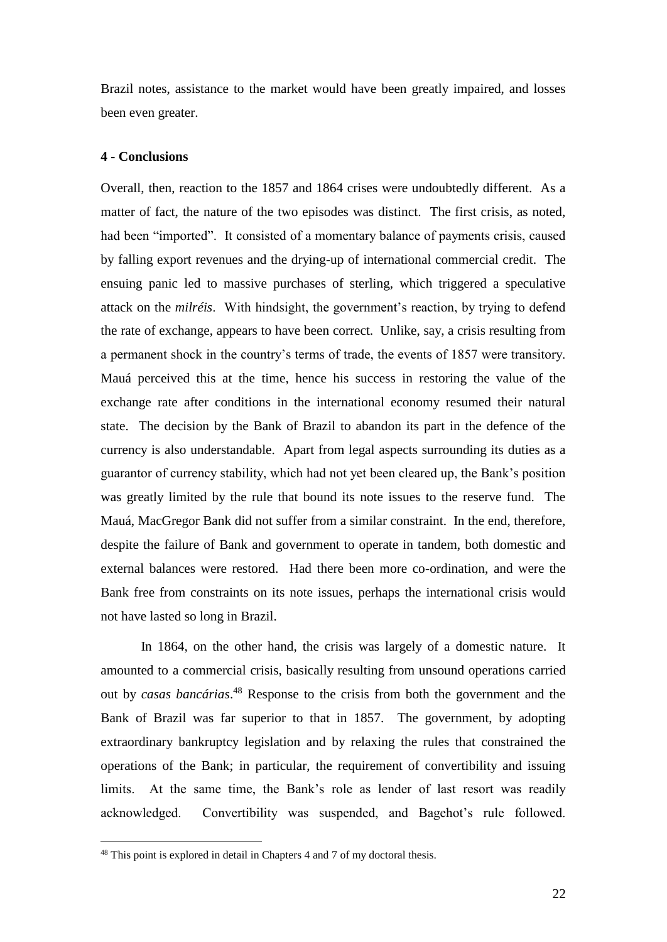Brazil notes, assistance to the market would have been greatly impaired, and losses been even greater.

# **4 - Conclusions**

Overall, then, reaction to the 1857 and 1864 crises were undoubtedly different. As a matter of fact, the nature of the two episodes was distinct. The first crisis, as noted, had been "imported". It consisted of a momentary balance of payments crisis, caused by falling export revenues and the drying-up of international commercial credit. The ensuing panic led to massive purchases of sterling, which triggered a speculative attack on the *milréis*. With hindsight, the government's reaction, by trying to defend the rate of exchange, appears to have been correct. Unlike, say, a crisis resulting from a permanent shock in the country's terms of trade, the events of 1857 were transitory. Mauá perceived this at the time, hence his success in restoring the value of the exchange rate after conditions in the international economy resumed their natural state. The decision by the Bank of Brazil to abandon its part in the defence of the currency is also understandable. Apart from legal aspects surrounding its duties as a guarantor of currency stability, which had not yet been cleared up, the Bank's position was greatly limited by the rule that bound its note issues to the reserve fund. The Mauá, MacGregor Bank did not suffer from a similar constraint. In the end, therefore, despite the failure of Bank and government to operate in tandem, both domestic and external balances were restored. Had there been more co-ordination, and were the Bank free from constraints on its note issues, perhaps the international crisis would not have lasted so long in Brazil.

In 1864, on the other hand, the crisis was largely of a domestic nature. It amounted to a commercial crisis, basically resulting from unsound operations carried out by *casas bancárias*. <sup>48</sup> Response to the crisis from both the government and the Bank of Brazil was far superior to that in 1857. The government, by adopting extraordinary bankruptcy legislation and by relaxing the rules that constrained the operations of the Bank; in particular, the requirement of convertibility and issuing limits. At the same time, the Bank's role as lender of last resort was readily acknowledged. Convertibility was suspended, and Bagehot's rule followed.

<sup>48</sup> This point is explored in detail in Chapters 4 and 7 of my doctoral thesis.